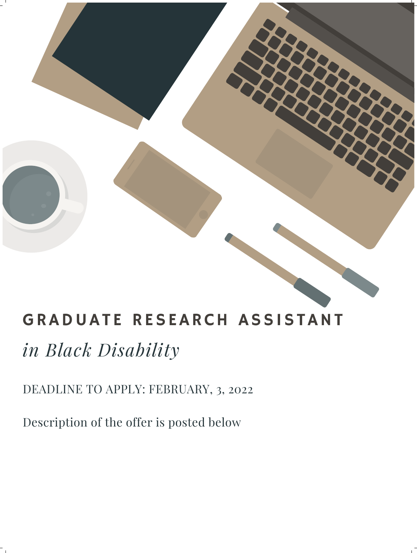

## GRADUATE RESEARCH ASSISTANT

# *in Black Disability*

#### DEADLINE TO APPLY: FEBRUARY, 3, 2022

Description of the offer is posted below